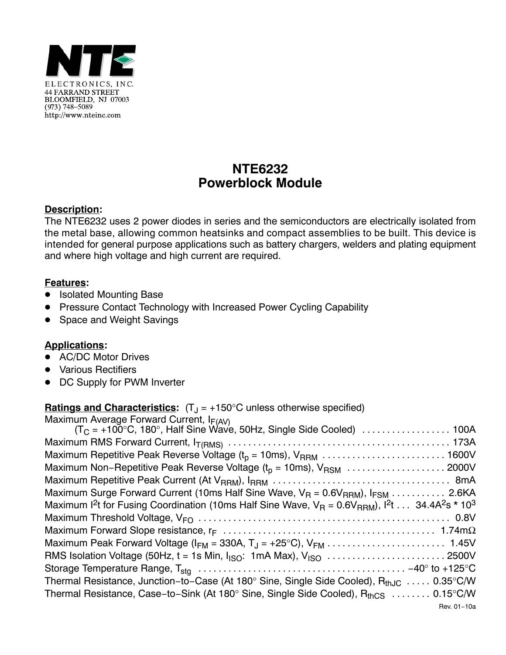

## **NTE6232 Powerblock Module**

## **Description:**

The NTE6232 uses 2 power diodes in series and the semiconductors are electrically isolated from the metal base, allowing common heatsinks and compact assemblies to be built. This device is intended for general purpose applications such as battery chargers, welders and plating equipment and where high voltage and high current are required.

## **Features:**

- **•** Isolated Mounting Base
- -Pressure Contact Technology with Increased Power Cycling Capability
- $\bullet$ Space and Weight Savings

## **Applications:**

- AC/DC Motor Drives
- Various Rectifiers
- $\bullet$ DC Supply for PWM Inverter

**<u>Ratings and Characteristics</u>:**  $(T_J = +150^{\circ} \text{C}$  unless otherwise specified)

| Maximum Average Forward Current, $I_{F(AV)}$<br>(T <sub>C</sub> = +100°C, 180°, Half Sine Wave, 50Hz, Single Side Cooled)  100A                       |
|-------------------------------------------------------------------------------------------------------------------------------------------------------|
|                                                                                                                                                       |
|                                                                                                                                                       |
| Maximum Non-Repetitive Peak Reverse Voltage ( $t_p = 10$ ms), V <sub>RSM</sub> 2000V                                                                  |
|                                                                                                                                                       |
| Maximum Surge Forward Current (10ms Half Sine Wave, $V_R = 0.6V_{RRM}$ ), $I_{FSM}$ 2.6KA                                                             |
| Maximum 1 <sup>2</sup> t for Fusing Coordination (10ms Half Sine Wave, $V_R = 0.6V_{RRM}$ ), 1 <sup>2</sup> t  34.4A <sup>2</sup> s * 10 <sup>3</sup> |
|                                                                                                                                                       |
|                                                                                                                                                       |
|                                                                                                                                                       |
|                                                                                                                                                       |
|                                                                                                                                                       |
| Thermal Resistance, Junction-to-Case (At 180 $^{\circ}$ Sine, Single Side Cooled), R <sub>thJC</sub> 0.35 $^{\circ}$ C/W                              |
| Thermal Resistance, Case-to-Sink (At 180° Sine, Single Side Cooled), R <sub>thCS</sub> 0.15°C/W                                                       |
| Rev. 01-10a                                                                                                                                           |